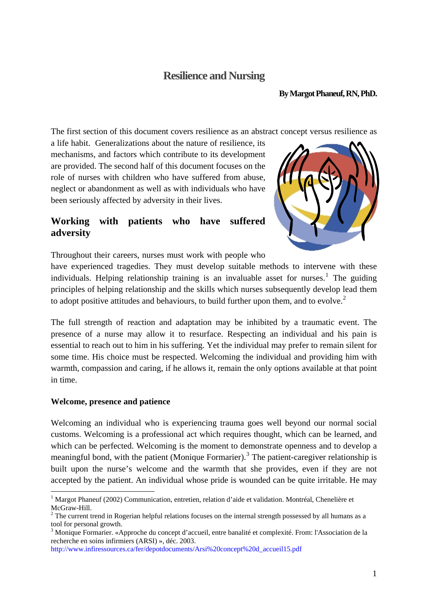## **Resilience and Nursing**

#### **By Margot Phaneuf, RN, PhD.**

The first section of this document covers resilience as an abstract concept versus resilience as

a life habit. Generalizations about the nature of resilience, its mechanisms, and factors which contribute to its development are provided. The second half of this document focuses on the role of nurses with children who have suffered from abuse, neglect or abandonment as well as with individuals who have been seriously affected by adversity in their lives.

## **Working with patients who have suffered adversity**



Throughout their careers, nurses must work with people who

have experienced tragedies. They must develop suitable methods to intervene with these individuals. Helping relationship training is an invaluable asset for nurses.<sup>[1](#page-0-0)</sup> The guiding principles of helping relationship and the skills which nurses subsequently develop lead them to adopt positive attitudes and behaviours, to build further upon them, and to evolve.<sup>[2](#page-0-1)</sup>

The full strength of reaction and adaptation may be inhibited by a traumatic event. The presence of a nurse may allow it to resurface. Respecting an individual and his pain is essential to reach out to him in his suffering. Yet the individual may prefer to remain silent for some time. His choice must be respected. Welcoming the individual and providing him with warmth, compassion and caring, if he allows it, remain the only options available at that point in time.

#### **Welcome, presence and patience**

1

Welcoming an individual who is experiencing trauma goes well beyond our normal social customs. Welcoming is a professional act which requires thought, which can be learned, and which can be perfected. Welcoming is the moment to demonstrate openness and to develop a meaningful bond, with the patient (Monique Formarier).<sup>[3](#page-0-2)</sup> The patient-caregiver relationship is built upon the nurse's welcome and the warmth that she provides, even if they are not accepted by the patient. An individual whose pride is wounded can be quite irritable. He may

[http://www.infiressources.ca/fer/depotdocuments/Arsi%20concept%20d\\_accueil15.pdf](http://www.infiressources.ca/fer/depotdocuments/Arsi%20concept%20d_accueil15.pdf)

<span id="page-0-0"></span><sup>&</sup>lt;sup>1</sup> Margot Phaneuf (2002) Communication, entretien, relation d'aide et validation. Montréal, Chenelière et McGraw-Hill.

<span id="page-0-1"></span> $2$  The current trend in Rogerian helpful relations focuses on the internal strength possessed by all humans as a tool for personal growth.

<span id="page-0-2"></span><sup>&</sup>lt;sup>3</sup> Monique Formarier. «Approche du concept d'accueil, entre banalité et complexité. From: l'Association de la recherche en soins infirmiers (ARSI) », déc. 2003.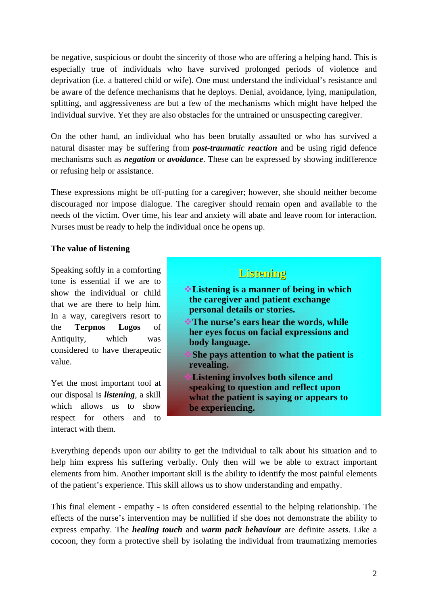be negative, suspicious or doubt the sincerity of those who are offering a helping hand. This is especially true of individuals who have survived prolonged periods of violence and deprivation (i.e. a battered child or wife). One must understand the individual's resistance and be aware of the defence mechanisms that he deploys. Denial, avoidance, lying, manipulation, splitting, and aggressiveness are but a few of the mechanisms which might have helped the individual survive. Yet they are also obstacles for the untrained or unsuspecting caregiver.

On the other hand, an individual who has been brutally assaulted or who has survived a natural disaster may be suffering from *post-traumatic reaction* and be using rigid defence mechanisms such as *negation* or *avoidance*. These can be expressed by showing indifference or refusing help or assistance.

These expressions might be off-putting for a caregiver; however, she should neither become discouraged nor impose dialogue. The caregiver should remain open and available to the needs of the victim. Over time, his fear and anxiety will abate and leave room for interaction. Nurses must be ready to help the individual once he opens up.

#### **The value of listening**

Speaking softly in a comforting tone is essential if we are to show the individual or child that we are there to help him. In a way, caregivers resort to the **Terpnos Logos** of Antiquity, which was considered to have therapeutic value.

Yet the most important tool at our disposal is *listening*, a skill which allows us to show respect for others and to interact with them.

## **Listening Listening**

- **Listening is a manner of being in which the caregiver and patient exchange personal details or stories.**
- **The nurse's ears hear the words, while her eyes focus on facial expressions and body language.**
- **She pays attention to what the patient is revealing.**
- **Listening involves both silence and speaking to question and reflect upon what the patient is saying or appears to be experiencing.**

Everything depends upon our ability to get the individual to talk about his situation and to help him express his suffering verbally. Only then will we be able to extract important elements from him. Another important skill is the ability to identify the most painful elements of the patient's experience. This skill allows us to show understanding and empathy.

This final element - empathy - is often considered essential to the helping relationship. The effects of the nurse's intervention may be nullified if she does not demonstrate the ability to express empathy. The *healing touch* and *warm pack behaviour* are definite assets. Like a cocoon, they form a protective shell by isolating the individual from traumatizing memories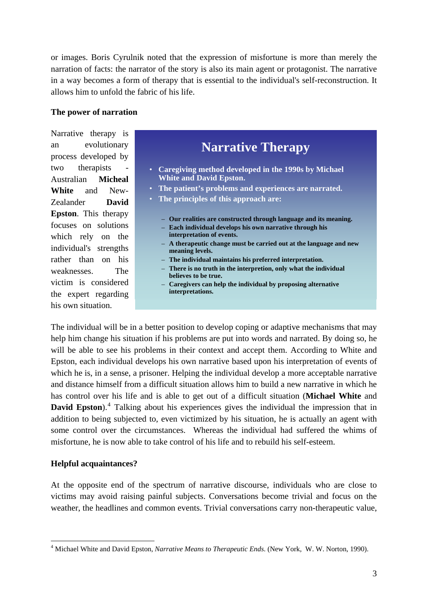or images. Boris Cyrulnik noted that the expression of misfortune is more than merely the narration of facts: the narrator of the story is also its main agent or protagonist. The narrative in a way becomes a form of therapy that is essential to the individual's self-reconstruction. It allows him to unfold the fabric of his life.

#### **The power of narration**

Narrative therapy is an evolutionary process developed by two therapists Australian **Micheal White** and New-Zealander **David Epston**. This therapy focuses on solutions which rely on the individual's strengths rather than on his weaknesses. The victim is considered the expert regarding his own situation.



The individual will be in a better position to develop coping or adaptive mechanisms that may help him change his situation if his problems are put into words and narrated. By doing so, he will be able to see his problems in their context and accept them. According to White and Epston, each individual develops his own narrative based upon his interpretation of events of which he is, in a sense, a prisoner. Helping the individual develop a more acceptable narrative and distance himself from a difficult situation allows him to build a new narrative in which he has control over his life and is able to get out of a difficult situation (**Michael White** and **David Epston**).<sup>[4](#page-2-0)</sup> Talking about his experiences gives the individual the impression that in addition to being subjected to, even victimized by his situation, he is actually an agent with some control over the circumstances. Whereas the individual had suffered the whims of misfortune, he is now able to take control of his life and to rebuild his self-esteem.

#### **Helpful acquaintances?**

1

At the opposite end of the spectrum of narrative discourse, individuals who are close to victims may avoid raising painful subjects. Conversations become trivial and focus on the weather, the headlines and common events. Trivial conversations carry non-therapeutic value,

<span id="page-2-0"></span><sup>4</sup> Michael White and David Epston, *Narrative Means to Therapeutic Ends*. (New York, W. W. Norton, 1990).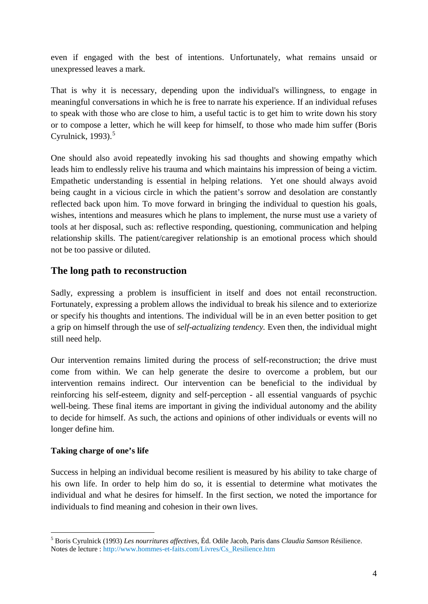even if engaged with the best of intentions. Unfortunately, what remains unsaid or unexpressed leaves a mark.

That is why it is necessary, depending upon the individual's willingness, to engage in meaningful conversations in which he is free to narrate his experience. If an individual refuses to speak with those who are close to him, a useful tactic is to get him to write down his story or to compose a letter, which he will keep for himself, to those who made him suffer (Boris Cyrulnick,  $1993$ ).<sup>[5](#page-3-0)</sup>

One should also avoid repeatedly invoking his sad thoughts and showing empathy which leads him to endlessly relive his trauma and which maintains his impression of being a victim. Empathetic understanding is essential in helping relations. Yet one should always avoid being caught in a vicious circle in which the patient's sorrow and desolation are constantly reflected back upon him. To move forward in bringing the individual to question his goals, wishes, intentions and measures which he plans to implement, the nurse must use a variety of tools at her disposal, such as: reflective responding, questioning, communication and helping relationship skills. The patient/caregiver relationship is an emotional process which should not be too passive or diluted.

### **The long path to reconstruction**

Sadly, expressing a problem is insufficient in itself and does not entail reconstruction. Fortunately, expressing a problem allows the individual to break his silence and to exteriorize or specify his thoughts and intentions. The individual will be in an even better position to get a grip on himself through the use of *self-actualizing tendency.* Even then, the individual might still need help.

Our intervention remains limited during the process of self-reconstruction; the drive must come from within. We can help generate the desire to overcome a problem, but our intervention remains indirect. Our intervention can be beneficial to the individual by reinforcing his self-esteem, dignity and self-perception - all essential vanguards of psychic well-being. These final items are important in giving the individual autonomy and the ability to decide for himself. As such, the actions and opinions of other individuals or events will no longer define him.

#### **Taking charge of one's life**

1

Success in helping an individual become resilient is measured by his ability to take charge of his own life. In order to help him do so, it is essential to determine what motivates the individual and what he desires for himself. In the first section, we noted the importance for individuals to find meaning and cohesion in their own lives.

<span id="page-3-0"></span><sup>5</sup> Boris Cyrulnick (1993) *Les nourritures affectives,* Éd. Odile Jacob, Paris dans *Claudia Samson* Résilience. Notes de lecture : [http://www.hommes-et-faits.com/Livres/Cs\\_Resilience.htm](http://www.hommes-et-faits.com/Livres/Cs_Resilience.htm)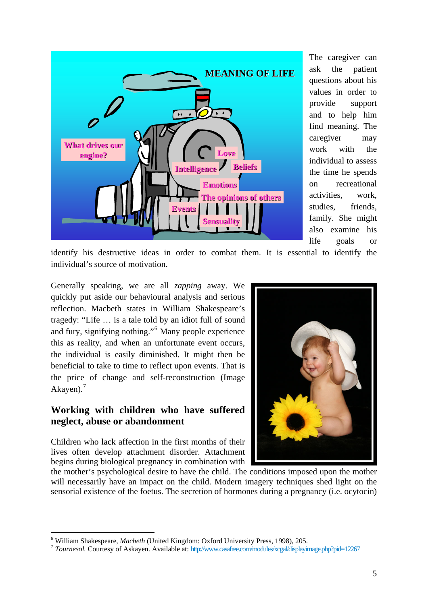

The caregiver can ask the patient questions about his values in order to provide support and to help him find meaning. The caregiver may work with the individual to assess the time he spends activities, work, studies, friends, family. She might also examine his life goals or on recreational

identify his destructive ideas in order to combat them. It is essential to identify the individual's source of motivation.

Generally speaking, we are all *zapping* away. We quickly put aside our behavioural analysis and serious reflection. Macbeth states in William Shakespeare's tragedy: "Life … is a tale told by an idiot full of sound and fury, signifying nothing."[6](#page-4-0) Many people experience this as reality, and when an unfortunate event occurs, the individual is easily diminished. It might then be beneficial to take to time to reflect upon events. That is the price of change and self-reconstruction (Image Akayen). $<sup>7</sup>$  $<sup>7</sup>$  $<sup>7</sup>$ </sup>

### **Working with children who have suffered neglect, abuse or abandonment**

Children who lack affection in the first months of their lives often develop attachment disorder. Attachment begins during biological pregnancy in combination with

1



the mother's psychological desire to have the child. The conditions imposed upon the mother will necessarily have an impact on the child. Modern imagery techniques shed light on the sensorial existence of the foetus. The secretion of hormones during a pregnancy (i.e. ocytocin)

<span id="page-4-0"></span> $6$  William Shakespeare, *Macbeth* (United Kingdom: Oxford University Press, 1998), 205.

<span id="page-4-1"></span><sup>&</sup>lt;sup>7</sup> Tournesol. Courtesy of Askayen. Available at:<http://www.casafree.com/modules/xcgal/displayimage.php?pid=12267>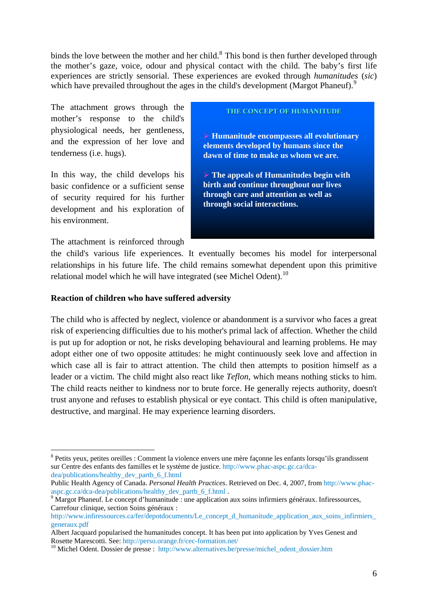binds the love between the mother and her child. $8$  This bond is then further developed through the mother's gaze, voice, odour and physical contact with the child. The baby's first life experiences are strictly sensorial. These experiences are evoked through *humanitudes* (*sic*) which have prevailed throughout the ages in the child's development (Margot Phaneuf).<sup>[9](#page-5-1)</sup>

The attachment grows through the mother's response to the child's physiological needs, her gentleness, and the expression of her love and tenderness (i.e. hugs).

In this way, the child develops his basic confidence or a sufficient sense of security required for his further development and his exploration of his environment.

The attachment is reinforced through

1

**THE CONCEPT OF HUMANITUDE THE CONCEPT OF HUMANITUDE**

¾ **Humanitude encompasses all evolutionary elements developed by humans since the dawn of time to make us whom we are.**

¾ **The appeals of Humanitudes begin with birth and continue throughout our lives through care and attention as well as through social interactions.**

the child's various life experiences. It eventually becomes his model for interpersonal relationships in his future life. The child remains somewhat dependent upon this primitive relational model which he will have integrated (see Michel Odent).<sup>[10](#page-5-2)</sup>

#### **Reaction of children who have suffered adversity**

The child who is affected by neglect, violence or abandonment is a survivor who faces a great risk of experiencing difficulties due to his mother's primal lack of affection. Whether the child is put up for adoption or not, he risks developing behavioural and learning problems. He may adopt either one of two opposite attitudes: he might continuously seek love and affection in which case all is fair to attract attention. The child then attempts to position himself as a leader or a victim. The child might also react like *Teflon*, which means nothing sticks to him. The child reacts neither to kindness nor to brute force. He generally rejects authority, doesn't trust anyone and refuses to establish physical or eye contact. This child is often manipulative, destructive, and marginal. He may experience learning disorders.

<span id="page-5-0"></span><sup>&</sup>lt;sup>8</sup> Petits yeux, petites oreilles : Comment la violence envers une mère façonne les enfants lorsqu'ils grandissent sur Centre des enfants des familles et le système de justice. [http://www.phac-aspc.gc.ca/dca](http://www.phac-aspc.gc.ca/dca-dea/publications/healthy_dev_partb_6_f.html)[dea/publications/healthy\\_dev\\_partb\\_6\\_f.html](http://www.phac-aspc.gc.ca/dca-dea/publications/healthy_dev_partb_6_f.html)

Public Health Agency of Canada. *Personal Health Practices*. Retrieved on Dec. 4, 2007, from [http://www.phac](http://www.phac-aspc.gc.ca/dca-dea/publications/healthy_dev_partb_6_f.html)[aspc.gc.ca/dca-dea/publications/healthy\\_dev\\_partb\\_6\\_f.html](http://www.phac-aspc.gc.ca/dca-dea/publications/healthy_dev_partb_6_f.html) .

<span id="page-5-1"></span><sup>&</sup>lt;sup>9</sup> Margot Phaneuf. Le concept d'humanitude : une application aux soins infirmiers généraux. Infiressources, Carrefour clinique, section Soins généraux :

http://www.infiressources.ca/fer/depotdocuments/Le\_concept\_d\_humanitude\_application\_aux\_soins\_infirmiers [generaux.pdf](http://www.infiressources.ca/fer/depotdocuments/Le_concept_d_humanitude_application_aux_soins_infirmiers_generaux.pdf)

Albert Jacquard popularised the humanitudes concept. It has been put into application by Yves Genest and Rosette Marescotti. See: http://perso.orange.fr/cec-formation.net/<br><sup>10</sup> Michel Odent. Dossier de presse : [http://www.alternatives.be/presse/michel\\_odent\\_dossier.htm](http://www.alternatives.be/presse/michel_odent_dossier.htm)

<span id="page-5-2"></span>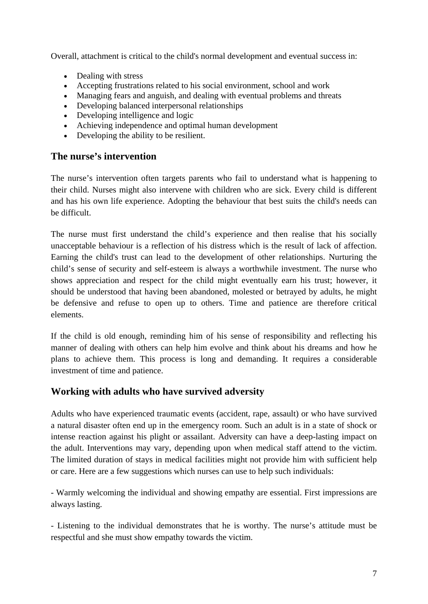Overall, attachment is critical to the child's normal development and eventual success in:

- Dealing with stress
- Accepting frustrations related to his social environment, school and work
- Managing fears and anguish, and dealing with eventual problems and threats
- Developing balanced interpersonal relationships
- Developing intelligence and logic
- Achieving independence and optimal human development
- Developing the ability to be resilient.

## **The nurse's intervention**

The nurse's intervention often targets parents who fail to understand what is happening to their child. Nurses might also intervene with children who are sick. Every child is different and has his own life experience. Adopting the behaviour that best suits the child's needs can be difficult.

The nurse must first understand the child's experience and then realise that his socially unacceptable behaviour is a reflection of his distress which is the result of lack of affection. Earning the child's trust can lead to the development of other relationships. Nurturing the child's sense of security and self-esteem is always a worthwhile investment. The nurse who shows appreciation and respect for the child might eventually earn his trust; however, it should be understood that having been abandoned, molested or betrayed by adults, he might be defensive and refuse to open up to others. Time and patience are therefore critical elements.

If the child is old enough, reminding him of his sense of responsibility and reflecting his manner of dealing with others can help him evolve and think about his dreams and how he plans to achieve them. This process is long and demanding. It requires a considerable investment of time and patience.

## **Working with adults who have survived adversity**

Adults who have experienced traumatic events (accident, rape, assault) or who have survived a natural disaster often end up in the emergency room. Such an adult is in a state of shock or intense reaction against his plight or assailant. Adversity can have a deep-lasting impact on the adult. Interventions may vary, depending upon when medical staff attend to the victim. The limited duration of stays in medical facilities might not provide him with sufficient help or care. Here are a few suggestions which nurses can use to help such individuals:

- Warmly welcoming the individual and showing empathy are essential. First impressions are always lasting.

- Listening to the individual demonstrates that he is worthy. The nurse's attitude must be respectful and she must show empathy towards the victim.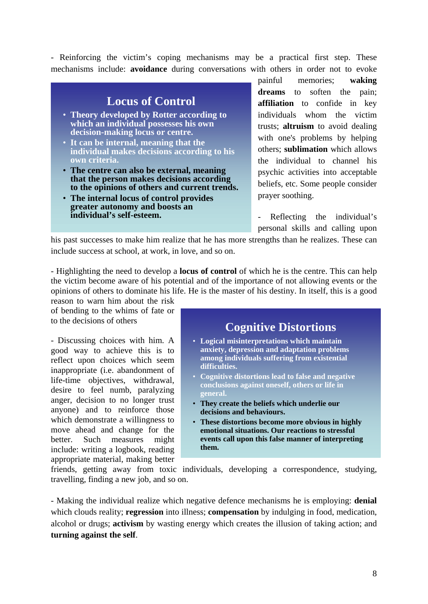- Reinforcing the victim's coping mechanisms may be a practical first step. These mechanisms include: **avoidance** during conversations with others in order not to evoke



painful memories; **waking dreams** to soften the pain; **affiliation** to confide in key individuals whom the victim trusts; **altruism** to avoid dealing with one's problems by helping others; **sublimation** which allows the individual to channel his psychic activities into acceptable beliefs, etc. Some people consider

- Reflecting the individual's personal skills and calling upon

his past successes to make him realize that he has more strengths than he realizes. These can include success at school, at work, in love, and so on.

- Highlighting the need to develop a **locus of control** of which he is the centre. This can help the victim become aware of his potential and of the importance of not allowing events or the opinions of others to dominate his life. He is the master of his destiny. In itself, this is a good

reason to warn him about the risk of bending to the whims of fate or to the decisions of others

- Discussing choices with him. A good way to achieve this is to reflect upon choices which seem inappropriate (i.e. abandonment of life-time objectives, withdrawal, desire to feel numb, paralyzing anger, decision to no longer trust anyone) and to reinforce those which demonstrate a willingness to move ahead and change for the better. Such measures might include: writing a logbook, reading appropriate material, making better

## **Cognitive Distortions**

- **Logical misinterpretations which maintain anxiety, depression and adaptation problems among individuals suffering from existential difficulties.**
- **Cognitive distortions lead to false and negative conclusions against oneself, others or life in general.**
- **They create the beliefs which underlie our decisions and behaviours.**
- **These distortions become more obvious in highly emotional situations. Our reactions to stressful events call upon this false manner of interpreting them.**

friends, getting away from toxic individuals, developing a correspondence, studying, travelling, finding a new job, and so on.

- Making the individual realize which negative defence mechanisms he is employing: **denial** which clouds reality; **regression** into illness; **compensation** by indulging in food, medication, alcohol or drugs; **activism** by wasting energy which creates the illusion of taking action; and **turning against the self**.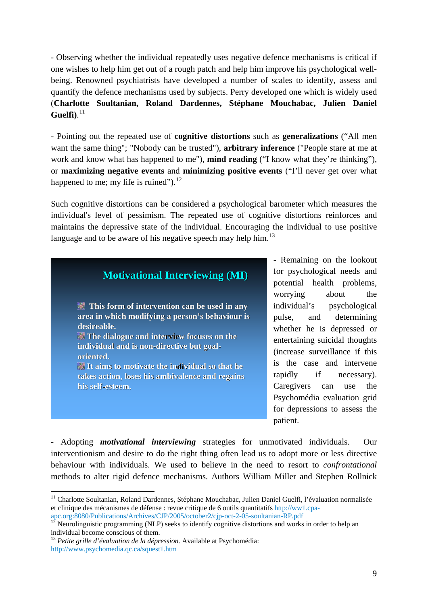- Observing whether the individual repeatedly uses negative defence mechanisms is critical if one wishes to help him get out of a rough patch and help him improve his psychological wellbeing. Renowned psychiatrists have developed a number of scales to identify, assess and quantify the defence mechanisms used by subjects. Perry developed one which is widely used (**Charlotte Soultanian, Roland Dardennes, Stéphane Mouchabac, Julien Daniel Guelfi)**. 11

or **maximizing negative events** and **minimizing positive events** ("I'll never get over what happened to me; my life is ruined"). $^{12}$ - Pointing out the repeated use of **cognitive distortions** such as **generalizations** ("All men want the same thing"; "Nobody can be trusted"), **arbitrary inference** ("People stare at me at work and know what has happened to me"), **mind reading** ("I know what they're thinking"),

maintains the depressive state of the individual. Encouraging the individual to use positive language and to be aware of his negative speech may help him.<sup>13</sup> Such cognitive distortions can be considered a psychological barometer which measures the individual's level of pessimism. The repeated use of cognitive distortions reinforces and



, potential health problems patient. - Remaining on the lookout for psychological needs and worrying about the individual's psychological pulse, and determining whether he is depressed or entertaining suicidal thoughts (increase surveillance if this is the case and intervene rapidly if necessary). Caregivers can use the Psychomédia evaluation grid for depressions to assess the

- Adopting *motivational interviewing* strategies for unmotivated individuals. Our interventionism and desire to do the right thing often lead us to adopt more or less directive behaviour with individuals. We used to believe in the need to resort to *confrontational* methods to alter rigid defence mechanisms. Authors William Miller and Stephen Rollnick

1

<sup>&</sup>lt;sup>11</sup> Charlotte Soultanian, Roland Dardennes, Stéphane Mouchabac, Julien Daniel Guelfi, l'évaluation normalisée et clinique des mécanismes de défense : revue critique de 6 outils quantitatifs [http://ww1.cpa-](http://ww1.cpa-apc.org:8080/Publications/Archives/CJP/2005/october2/cjp-oct-2-05-soultanian-RP.pdf)

[apc.org:8080/Publications/Archives/CJP/2005/october2/cjp-oct-2-05-soultanian-RP.pdf](http://ww1.cpa-apc.org:8080/Publications/Archives/CJP/2005/october2/cjp-oct-2-05-soultanian-RP.pdf)

 $12$  Neurolinguistic programming (NLP) seeks to identify cognitive distortions and works in order to help an individual become conscious of them.

<sup>13</sup> *Petite grille d'évaluation de la dépression.* Available at Psychomédia: <http://www.psychomedia.qc.ca/squest1.htm>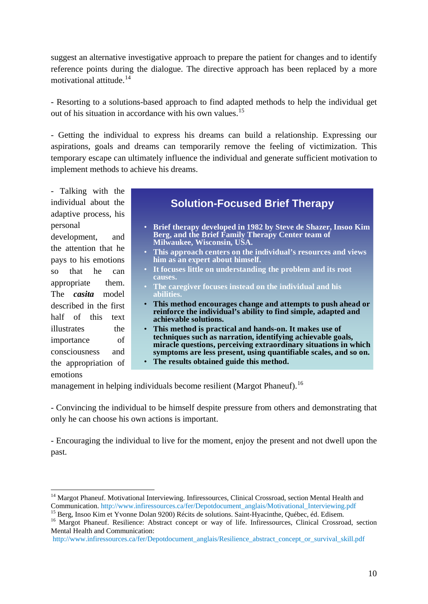suggest an alternative investigative approach to prepare the patient for changes and to identify reference points during the dialogue. The directive approach has been replaced by a more motivational attitude.<sup>14</sup>

- Resorting to a solutions-based approach to find adapted methods to help the individual get out of his situation in accordance with his own values.15

temporary escape can ultimately influence the individual and generate sufficient motivation to implement methods to achieve his dreams. - Getting the individual to express his dreams can build a relationship. Expressing our aspirations, goals and dreams can temporarily remove the feeling of victimization. This

adaptive process, his - Talking with the individual about the personal

the appropriation of development, and the attention that he pays to his emotions so that he can appropriate them. The *casita* model described in the first half of this text illustrates the importance of consciousness and emotions

1

# **Solution-Focused Brief Therapy**

- **Brief therapy developed in 1982 by Steve de Shazer, Insoo Kim Berg, and the Brief Family Therapy Center team of Milwaukee, Wisconsin, USA.**
- **This approach centers on the individual's resources and views him as an expert about himself.**
- **It focuses little on understanding the problem and its root causes.**
- **The caregiver focuses instead on the individual and his abilitie**
- **This method encourages change and attempts to push ahead or reinforce the individual's ability to find simple, adapted and achievable solutions.**
- **This method is practical and hands-on. It makes use of techniques such as narration, identifying achievable goals, miracle questions, perceiving extraordinary situations in which symptoms are less present, using quantifiable scales, and so on.**
- **The results obtained guide this method.**

management in helping individuals become resilient (Margot Phaneuf).<sup>16</sup>

- Convincing the individual to be himself despite pressure from others and demonstrating that only he can choose his own actions is important.

- Encouraging the individual to live for the moment, enjoy the present and not dwell upon the past.

<sup>&</sup>lt;sup>14</sup> Margot Phaneuf. Motivational Interviewing. Infiressources, Clinical Crossroad, section Mental Health and Communication. [http://www.infiressources.ca/fer/Depotdocument\\_anglais/Motivational\\_Interviewing.pdf](http://www.infiressources.ca/fer/Depotdocument_anglais/Motivational_Interviewing.pdf)<br><sup>15</sup> Berg, Insoo Kim et Yvonne Dolan 9200) Récits de solutions. Saint-Hyacinthe, Québec, éd. Edisem.<br><sup>16</sup> Margot Phaneuf.

Mental Health and Communication:

[http://www.infiressources.ca/fer/Depotdocument\\_anglais/Resilience\\_abstract\\_concept\\_or\\_survival\\_skill.pdf](http://www.infiressources.ca/fer/Depotdocument_anglais/Resilience_abstract_concept_or_survival_skill.pdf)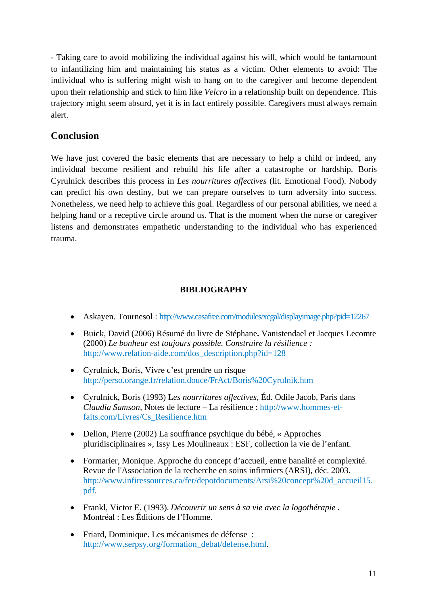- Taking care to avoid mobilizing the individual against his will, which would be tantamount to infantilizing him and maintaining his status as a victim. Other elements to avoid: The individual who is suffering might wish to hang on to the caregiver and become dependent upon their relationship and stick to him like *Velcro* in a relationship built on dependence. This trajectory might seem absurd, yet it is in fact entirely possible. Caregivers must always remain alert.

### **Conclusion**

helping hand or a receptive circle around us. That is the moment when the nurse or caregiver listens and demonstrates empathetic understanding to the individual who has experienced trauma. We have just covered the basic elements that are necessary to help a child or indeed, any individual become resilient and rebuild his life after a catastrophe or hardship. Boris Cyrulnick describes this process in *Les nourritures affectives* (lit. Emotional Food). Nobody can predict his own destiny, but we can prepare ourselves to turn adversity into success. Nonetheless, we need help to achieve this goal. Regardless of our personal abilities, we need a

#### **BIBLIOGRAPHY**

- Askayen. Tournesol: [http://www.casafree.com/modules/xcgal/displayimage.php?pid=12267](http://www.relation-aide.com/dos_description.php?id=128)
- Buick, David (2006) Résumé du livre de Stéphane**.** Vanistendael et Jacques Lecomte (2000) *Le bonheur est toujours possible. Construire la résilience :*  [http://www.relation-aide.com/dos\\_description.php?id=128](http://perso.orange.fr/relation.douce/FrAct/Boris%20Cyrulnik.htm)
- Cyrulnick, Boris, Vivre c'est prendre un risque [http://perso.orange.fr/relation.douce/FrAct/Boris%20Cyrulnik.htm](http://www.hommes-et-faits.com/Livres/Cs_Resilience.htm)
- [Cyrulnick, Boris \(1993\) L](http://www.hommes-et-faits.com/Livres/Cs_Resilience.htm)*es nourritures affectives,* Éd. Odile Jacob, Paris dans *Claudia Samson,* Notes de lecture – La résilience : http://www.hommes-etfaits.com/Livres/Cs\_Resilience.htm
- Delion, Pierre (2002) La souffrance psychique du bébé, « Approches pluridisciplinaires », Issy Les Moulineaux : ESF, collection la vie de l'enfant.
- Formarier, Monique. Approche du concept d'accueil, entre banalité et complexité. Revue de l'Association de la recherche en soins infirmiers (ARSI), déc. 2003. http://www.infiressources.ca/fer/depotdocuments/Arsi%20concept%20d\_accueil15. pdf.
- Frankl, Victor E. (1993). *Découvrir un sens à sa vie avec la logothérapie* . Montréal : Les Éditions de l'Homme.
- Friard, Dominique. Les mécanismes de défense : [http://www.serpsy.org/formation\\_debat/defense.html.](http://perso.orange.fr/cec-formation.net/)